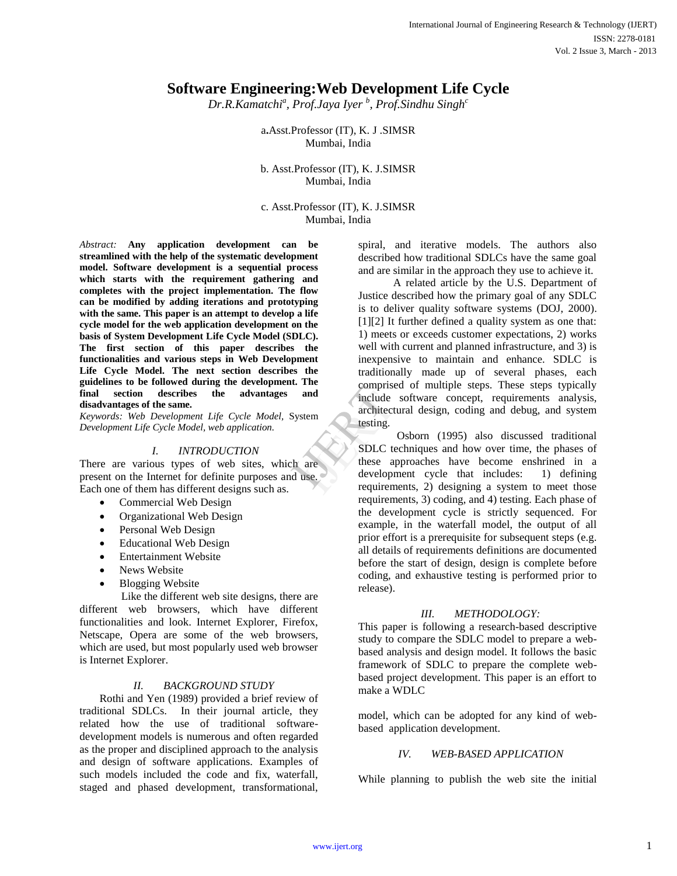# **Software Engineering:Web Development Life Cycle**

*Dr.R.Kamatchi<sup>a</sup> , Prof.Jaya Iyer <sup>b</sup> , Prof.Sindhu Singh<sup>c</sup>*

a**.**Asst.Professor (IT), K. J .SIMSR Mumbai, India

b. Asst.Professor (IT), K. J.SIMSR Mumbai, India

c. Asst.Professor (IT), K. J.SIMSR Mumbai, India

*Abstract:* **Any application development can be streamlined with the help of the systematic development model. Software development is a sequential process which starts with the requirement gathering and completes with the project implementation. The flow can be modified by adding iterations and prototyping with the same. This paper is an attempt to develop a life cycle model for the web application development on the basis of System Development Life Cycle Model (SDLC). The first section of this paper describes the functionalities and various steps in Web Development Life Cycle Model. The next section describes the guidelines to be followed during the development. The final section describes the advantages and disadvantages of the same.**

*Keywords: Web Development Life Cycle Model,* System *Development Life Cycle Model, web application.*

## *I. INTRODUCTION*

There are various types of web sites, which are present on the Internet for definite purposes and use. Each one of them has different designs such as.

- Commercial Web Design
- Organizational Web Design
- Personal Web Design
- Educational Web Design
- Entertainment Website
- News Website
- Blogging Website

 Like the different web site designs, there are different web browsers, which have different functionalities and look. Internet Explorer, Firefox, Netscape, Opera are some of the web browsers, which are used, but most popularly used web browser is Internet Explorer.

#### *II. BACKGROUND STUDY*

Rothi and Yen (1989) provided a brief review of traditional SDLCs. In their journal article, they related how the use of traditional softwaredevelopment models is numerous and often regarded as the proper and disciplined approach to the analysis and design of software applications. Examples of such models included the code and fix, waterfall, staged and phased development, transformational, spiral, and iterative models. The authors also described how traditional SDLCs have the same goal and are similar in the approach they use to achieve it.

A related article by the U.S. Department of Justice described how the primary goal of any SDLC is to deliver quality software systems (DOJ, 2000). [1][2] It further defined a quality system as one that: 1) meets or exceeds customer expectations, 2) works well with current and planned infrastructure, and 3) is inexpensive to maintain and enhance. SDLC is traditionally made up of several phases, each comprised of multiple steps. These steps typically include software concept, requirements analysis, architectural design, coding and debug, and system testing.

Osborn (1995) also discussed traditional SDLC techniques and how over time, the phases of these approaches have become enshrined in a development cycle that includes: 1) defining requirements, 2) designing a system to meet those requirements, 3) coding, and 4) testing. Each phase of the development cycle is strictly sequenced. For example, in the waterfall model, the output of all prior effort is a prerequisite for subsequent steps (e.g. all details of requirements definitions are documented before the start of design, design is complete before coding, and exhaustive testing is performed prior to release). and<br>
Include<br>
architect<br>
Include<br>
architect<br>
Include<br>
Include<br>
Include<br>
Include<br>
Include<br>
Include<br>
Include<br>
Include<br>
Include<br>
Include<br>
Include<br>
Include<br>
Include<br>
Include<br>
Include<br>
Include<br>
Include<br>
Include<br>
Include<br>
Includ

#### *III. METHODOLOGY:*

This paper is following a research-based descriptive study to compare the SDLC model to prepare a webbased analysis and design model. It follows the basic framework of SDLC to prepare the complete webbased project development. This paper is an effort to make a WDLC

model, which can be adopted for any kind of webbased application development.

## *IV. WEB-BASED APPLICATION*

While planning to publish the web site the initial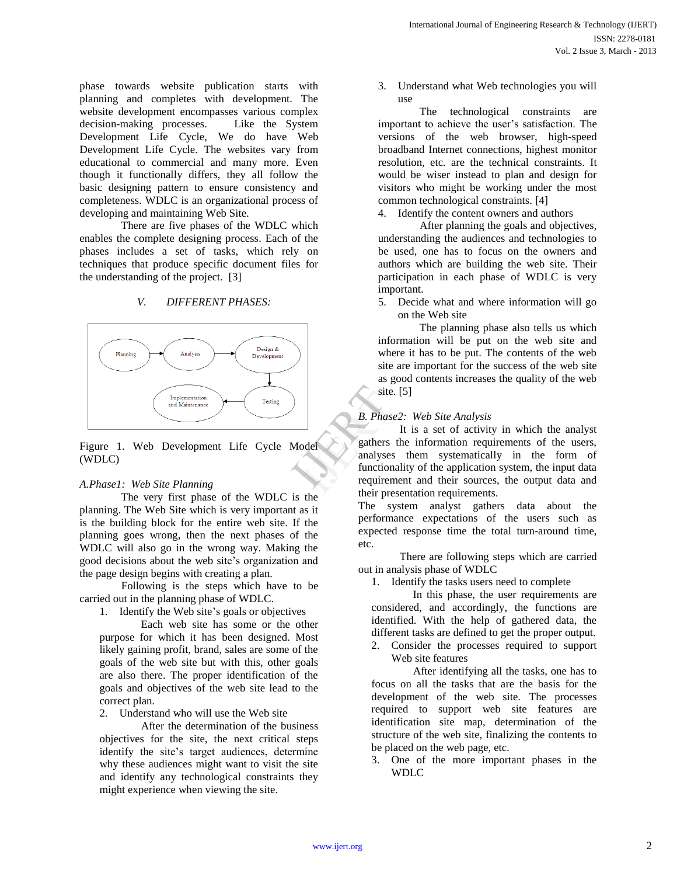phase towards website publication starts with planning and completes with development. The website development encompasses various complex decision-making processes. Like the System Development Life Cycle, We do have Web Development Life Cycle. The websites vary from educational to commercial and many more. Even though it functionally differs, they all follow the basic designing pattern to ensure consistency and completeness. WDLC is an organizational process of developing and maintaining Web Site.

 There are five phases of the WDLC which enables the complete designing process. Each of the phases includes a set of tasks, which rely on techniques that produce specific document files for the understanding of the project. [3]

# *V. DIFFERENT PHASES:*



Figure 1. Web Development Life Cycle Model (WDLC)

## *A.Phase1: Web Site Planning*

The very first phase of the WDLC is the planning. The Web Site which is very important as it is the building block for the entire web site. If the planning goes wrong, then the next phases of the WDLC will also go in the wrong way. Making the good decisions about the web site's organization and the page design begins with creating a plan.

 Following is the steps which have to be carried out in the planning phase of WDLC.

1. Identify the Web site's goals or objectives

 Each web site has some or the other purpose for which it has been designed. Most likely gaining profit, brand, sales are some of the goals of the web site but with this, other goals are also there. The proper identification of the goals and objectives of the web site lead to the correct plan.

2. Understand who will use the Web site

 After the determination of the business objectives for the site, the next critical steps identify the site's target audiences, determine why these audiences might want to visit the site and identify any technological constraints they might experience when viewing the site.

3. Understand what Web technologies you will use

The technological constraints are important to achieve the user's satisfaction. The versions of the web browser, high-speed broadband Internet connections, highest monitor resolution, etc. are the technical constraints. It would be wiser instead to plan and design for visitors who might be working under the most common technological constraints. [4]

4. Identify the content owners and authors

 After planning the goals and objectives, understanding the audiences and technologies to be used, one has to focus on the owners and authors which are building the web site. Their participation in each phase of WDLC is very important.

5. Decide what and where information will go on the Web site

 The planning phase also tells us which information will be put on the web site and where it has to be put. The contents of the web site are important for the success of the web site as good contents increases the quality of the web site. [5]

## *B. Phase2: Web Site Analysis*

It is a set of activity in which the analyst gathers the information requirements of the users, analyses them systematically in the form of functionality of the application system, the input data requirement and their sources, the output data and their presentation requirements. SIE.<br>
B. Phase<br>
Dathers<br>
Dathers<br>
Dathers<br>
Data integrative their press.

The system analyst gathers data about the performance expectations of the users such as expected response time the total turn-around time, etc.

 There are following steps which are carried out in analysis phase of WDLC

1. Identify the tasks users need to complete

 In this phase, the user requirements are considered, and accordingly, the functions are identified. With the help of gathered data, the different tasks are defined to get the proper output.

2. Consider the processes required to support Web site features

 After identifying all the tasks, one has to focus on all the tasks that are the basis for the development of the web site. The processes required to support web site features are identification site map, determination of the structure of the web site, finalizing the contents to be placed on the web page, etc.

3. One of the more important phases in the WDLC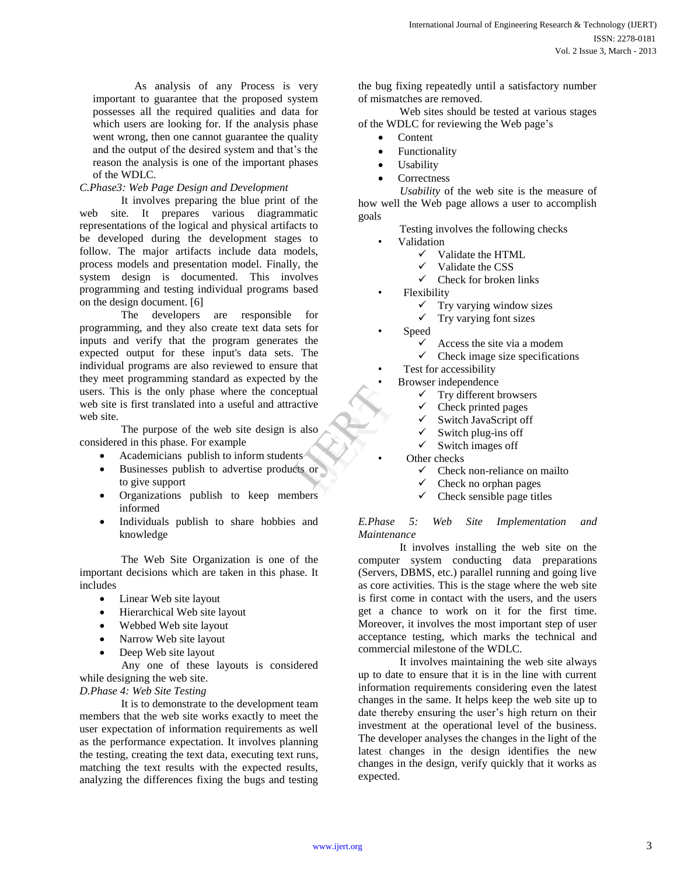As analysis of any Process is very important to guarantee that the proposed system possesses all the required qualities and data for which users are looking for. If the analysis phase went wrong, then one cannot guarantee the quality and the output of the desired system and that's the reason the analysis is one of the important phases of the WDLC.

## *C.Phase3: Web Page Design and Development*

It involves preparing the blue print of the web site. It prepares various diagrammatic representations of the logical and physical artifacts to be developed during the development stages to follow. The major artifacts include data models, process models and presentation model. Finally, the system design is documented. This involves programming and testing individual programs based on the design document. [6]

 The developers are responsible for programming, and they also create text data sets for inputs and verify that the program generates the expected output for these input's data sets. The individual programs are also reviewed to ensure that they meet programming standard as expected by the users. This is the only phase where the conceptual web site is first translated into a useful and attractive web site. Itive<br>also<br>stressed to the stressed to the stressed to the stressed to the stressed to the stressed to the stressed to the stressed to the stressed to the stressed to the stressed to the stressed to the stressed to the str

 The purpose of the web site design is also considered in this phase. For example

- Academicians publish to inform students
- Businesses publish to advertise products or to give support
- Organizations publish to keep members informed
- Individuals publish to share hobbies and knowledge

 The Web Site Organization is one of the important decisions which are taken in this phase. It includes

- Linear Web site layout
- Hierarchical Web site layout
- Webbed Web site layout
- Narrow Web site layout
- Deep Web site layout

 Any one of these layouts is considered while designing the web site.

*D.Phase 4: Web Site Testing* 

 It is to demonstrate to the development team members that the web site works exactly to meet the user expectation of information requirements as well as the performance expectation. It involves planning the testing, creating the text data, executing text runs, matching the text results with the expected results, analyzing the differences fixing the bugs and testing

the bug fixing repeatedly until a satisfactory number of mismatches are removed.

 Web sites should be tested at various stages of the WDLC for reviewing the Web page's

- **Content**
- Functionality
- Usability
- **Correctness**

 *Usability* of the web site is the measure of how well the Web page allows a user to accomplish goals

- Testing involves the following checks
- Validation
	- Validate the HTML
	- $\checkmark$  Validate the CSS<br> $\checkmark$  Check for broken
	- Check for broken links
- Flexibility
	- $\checkmark$  Try varying window sizes
	- $\checkmark$  Try varying font sizes
- Speed
	- Access the site via a modem
	- $\checkmark$  Check image size specifications

Test for accessibility

• Browser independence

- $\checkmark$  Try different browsers
- Check printed pages
- $\checkmark$  Switch JavaScript off
- Switch plug-ins off
- $\checkmark$  Switch images off
- Other checks
	- Check non-reliance on mailto
	- $\checkmark$  Check no orphan pages
	- $\checkmark$  Check sensible page titles

*E.Phase 5: Web Site Implementation and Maintenance*

 It involves installing the web site on the computer system conducting data preparations (Servers, DBMS, etc.) parallel running and going live as core activities. This is the stage where the web site is first come in contact with the users, and the users get a chance to work on it for the first time. Moreover, it involves the most important step of user acceptance testing, which marks the technical and commercial milestone of the WDLC.

 It involves maintaining the web site always up to date to ensure that it is in the line with current information requirements considering even the latest changes in the same. It helps keep the web site up to date thereby ensuring the user's high return on their investment at the operational level of the business. The developer analyses the changes in the light of the latest changes in the design identifies the new changes in the design, verify quickly that it works as expected.